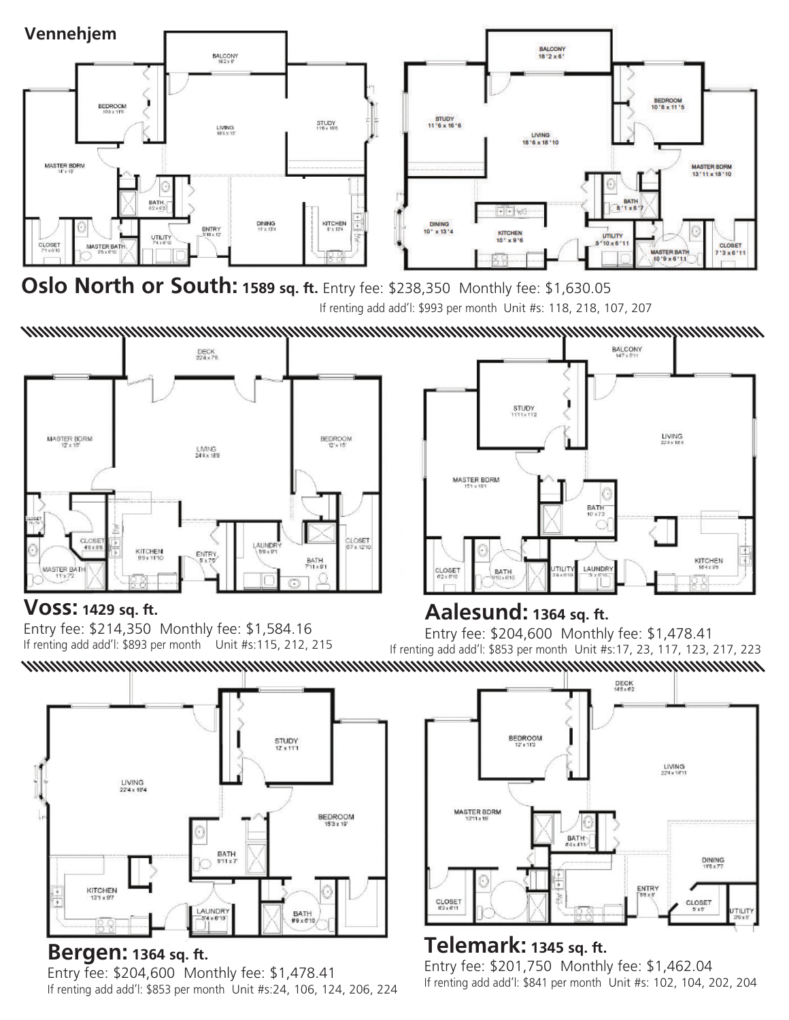

**Oslo North or South: 1589 sq. ft.** Entry fee: \$238,350 Monthly fee: \$1,630.05 If renting add add'l: \$993 per month Unit #s: 118, 218, 107, 207



## **Voss: 1429 sq. ft.**

Entry fee: \$214,350 Monthly fee: \$1,584.16 If renting add add'l: \$893 per month Unit #s:115, 212, 215

**Aalesund: 1364 sq. ft.**  Entry fee: \$204,600 Monthly fee: \$1,478.41 If renting add add'l: \$853 per month Unit #s:17, 23, 117, 123, 217, 223 



## **Bergen: 1364 sq. ft.**

Entry fee: \$204,600 Monthly fee: \$1,478.41 If renting add add'l: \$853 per month Unit #s:24, 106, 124, 206, 224



## **Telemark: 1345 sq. ft.**

Entry fee: \$201,750 Monthly fee: \$1,462.04 If renting add add'l: \$841 per month Unit #s: 102, 104, 202, 204